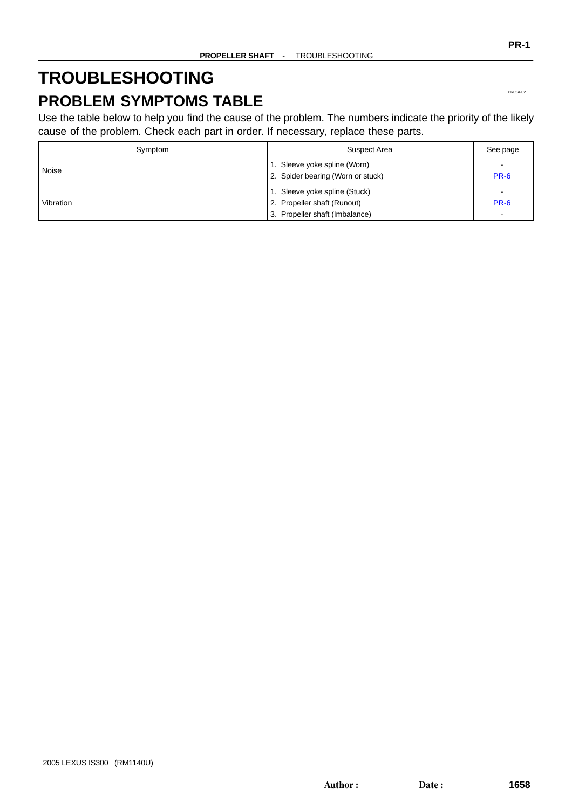# <span id="page-0-0"></span>**TROUBLESHOOTING**

## **PROBLEM SYMPTOMS TABLE**

Use the table below to help you find the cause of the problem. The numbers indicate the priority of the likely cause of the problem. Check each part in order. If necessary, replace these parts.

| Symptom   | Suspect Area                                                                                   | See page                                                            |
|-----------|------------------------------------------------------------------------------------------------|---------------------------------------------------------------------|
| Noise     | 1. Sleeve yoke spline (Worn)<br>2. Spider bearing (Worn or stuck)                              | <b>PR-6</b>                                                         |
| Vibration | 1. Sleeve yoke spline (Stuck)<br>2. Propeller shaft (Runout)<br>3. Propeller shaft (Imbalance) | $\overline{\phantom{a}}$<br><b>PR-6</b><br>$\overline{\phantom{0}}$ |

PR05A-02

**PR-1**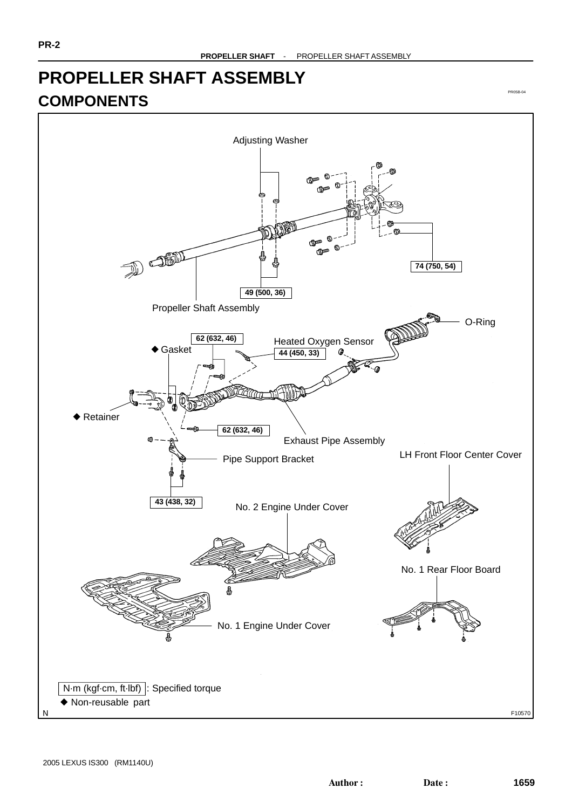## **PROPELLER SHAFT ASSEMBLY COMPONENTS**



PR05B-04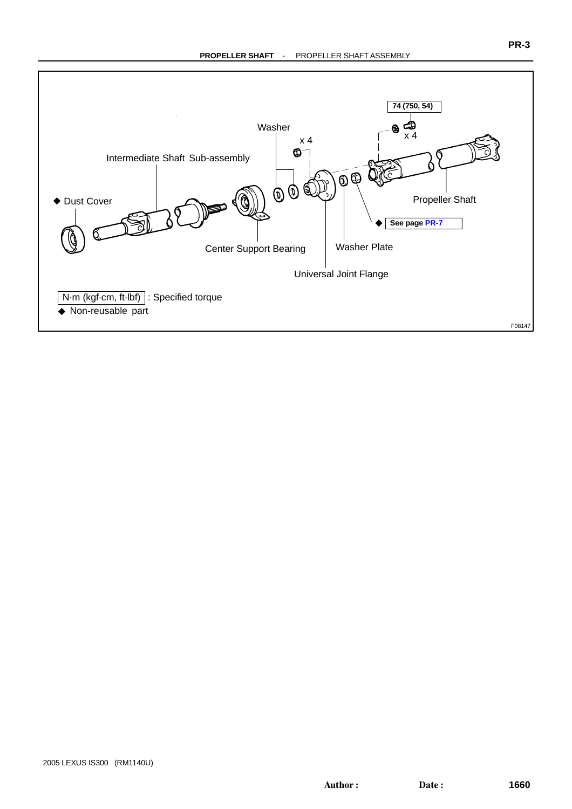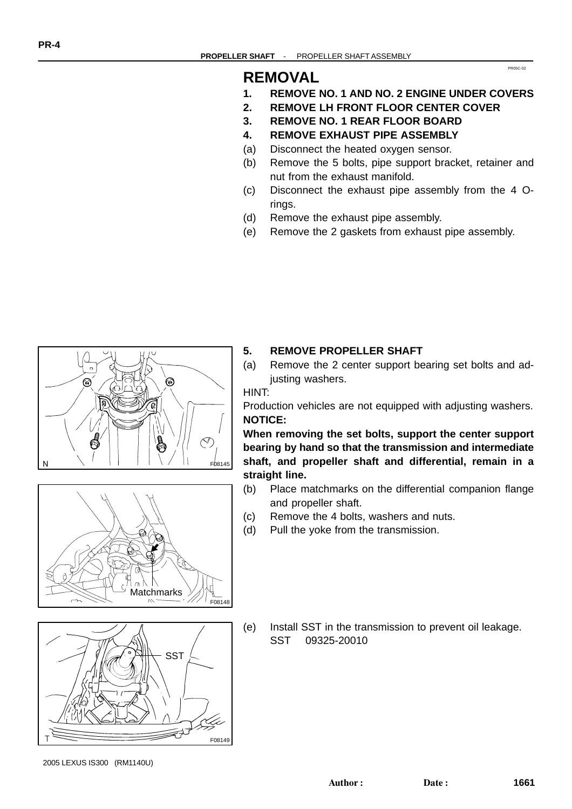## **REMOVAL**

**1. REMOVE NO. 1 AND NO. 2 ENGINE UNDER COVERS**

PR05C-02

- **2. REMOVE LH FRONT FLOOR CENTER COVER**
- **3. REMOVE NO. 1 REAR FLOOR BOARD**
- **4. REMOVE EXHAUST PIPE ASSEMBLY**
- (a) Disconnect the heated oxygen sensor.
- (b) Remove the 5 bolts, pipe support bracket, retainer and nut from the exhaust manifold.
- (c) Disconnect the exhaust pipe assembly from the 4 Orings.
- (d) Remove the exhaust pipe assembly.
- (e) Remove the 2 gaskets from exhaust pipe assembly.



# $\sqrt{a}$ **Matchmarks** F08148



(e) Install SST in the transmission to prevent oil leakage. SST 09325-20010

- 
- **5. REMOVE PROPELLER SHAFT**
- (a) Remove the 2 center support bearing set bolts and adjusting washers.

#### HINT:

Production vehicles are not equipped with adjusting washers. **NOTICE:**

**When removing the set bolts, support the center support bearing by hand so that the transmission and intermediate shaft, and propeller shaft and differential, remain in a straight line.**

- (b) Place matchmarks on the differential companion flange and propeller shaft.
- (c) Remove the 4 bolts, washers and nuts.
- (d) Pull the yoke from the transmission.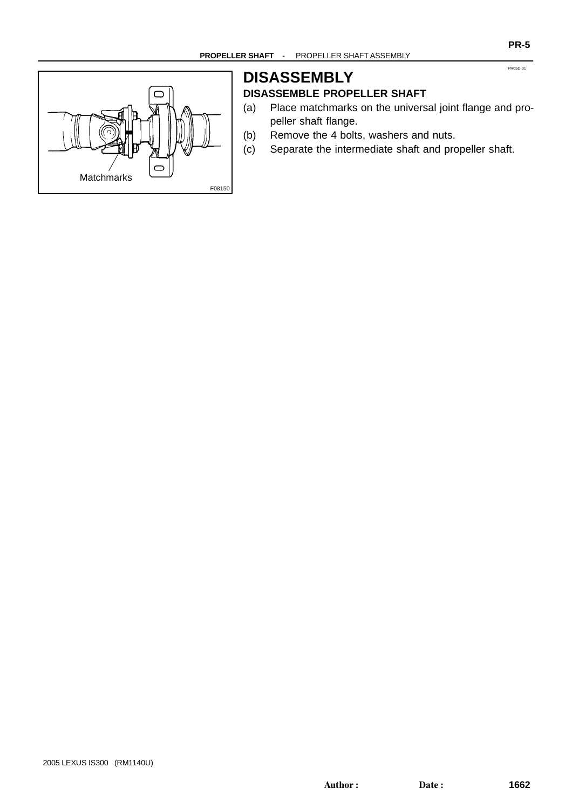

## **DISASSEMBLY DISASSEMBLE PROPELLER SHAFT**

- (a) Place matchmarks on the universal joint flange and propeller shaft flange.
- (b) Remove the 4 bolts, washers and nuts.
- (c) Separate the intermediate shaft and propeller shaft.

PR05D-01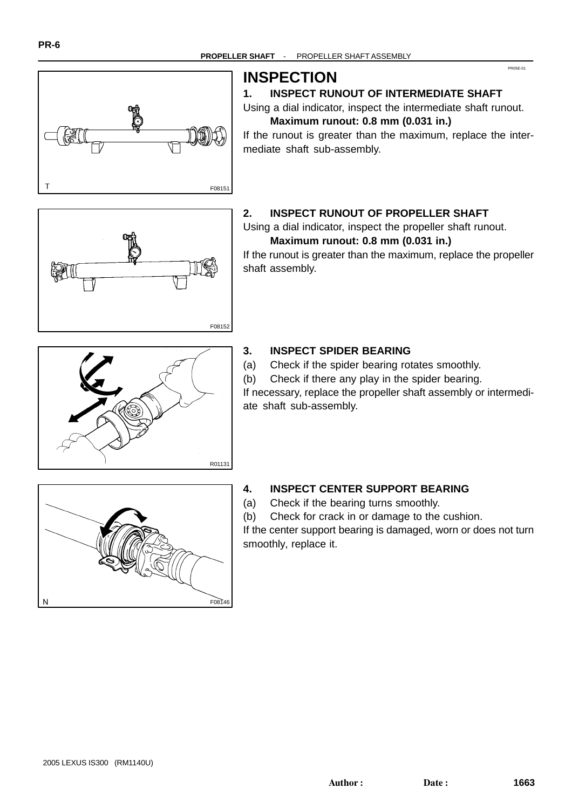PR05E-01



## **INSPECTION**

## **1. INSPECT RUNOUT OF INTERMEDIATE SHAFT**

Using a dial indicator, inspect the intermediate shaft runout. **Maximum runout: 0.8 mm (0.031 in.)**

If the runout is greater than the maximum, replace the intermediate shaft sub-assembly.



## **2. INSPECT RUNOUT OF PROPELLER SHAFT**

Using a dial indicator, inspect the propeller shaft runout. **Maximum runout: 0.8 mm (0.031 in.)**

If the runout is greater than the maximum, replace the propeller shaft assembly.



## **3. INSPECT SPIDER BEARING**

(a) Check if the spider bearing rotates smoothly.

(b) Check if there any play in the spider bearing.

If necessary, replace the propeller shaft assembly or intermediate shaft sub-assembly.



## **4. INSPECT CENTER SUPPORT BEARING**

(a) Check if the bearing turns smoothly.

(b) Check for crack in or damage to the cushion.

If the center support bearing is damaged, worn or does not turn smoothly, replace it.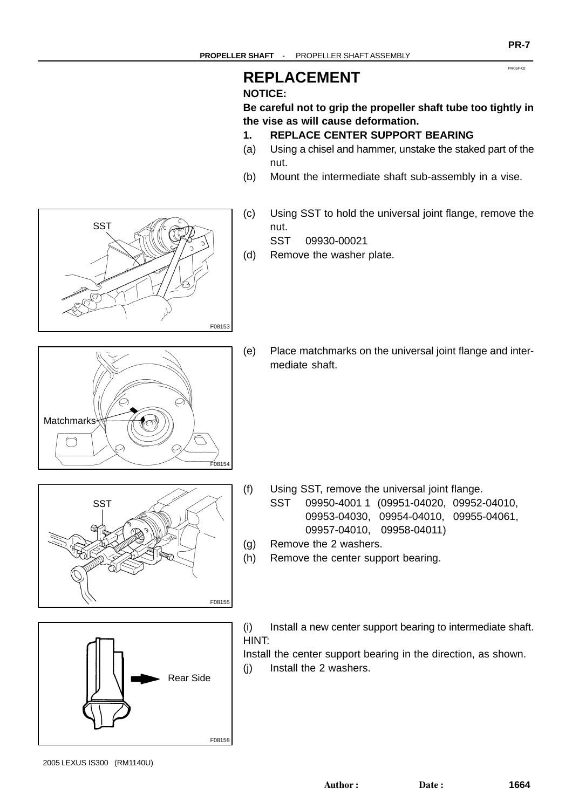## **REPLACEMENT**

## **NOTICE:**

**Be careful not to grip the propeller shaft tube too tightly in the vise as will cause deformation.**

- **1. REPLACE CENTER SUPPORT BEARING**
- (a) Using a chisel and hammer, unstake the staked part of the nut.
- (b) Mount the intermediate shaft sub-assembly in a vise.
- (c) Using SST to hold the universal joint flange, remove the nut.

SST 09930-00021

- (d) Remove the washer plate.
- (e) Place matchmarks on the universal joint flange and intermediate shaft.

- (f) Using SST, remove the universal joint flange.
	- SST 09950-4001 1 (09951-04020, 09952-04010, 09953-04030, 09954-04010, 09955-04061, 09957-04010, 09958-04011)
- (g) Remove the 2 washers.
- (h) Remove the center support bearing.



Install the center support bearing in the direction, as shown.

(j) Install the 2 washers.







2005 LEXUS IS300 (RM1140U)

**PR-7**

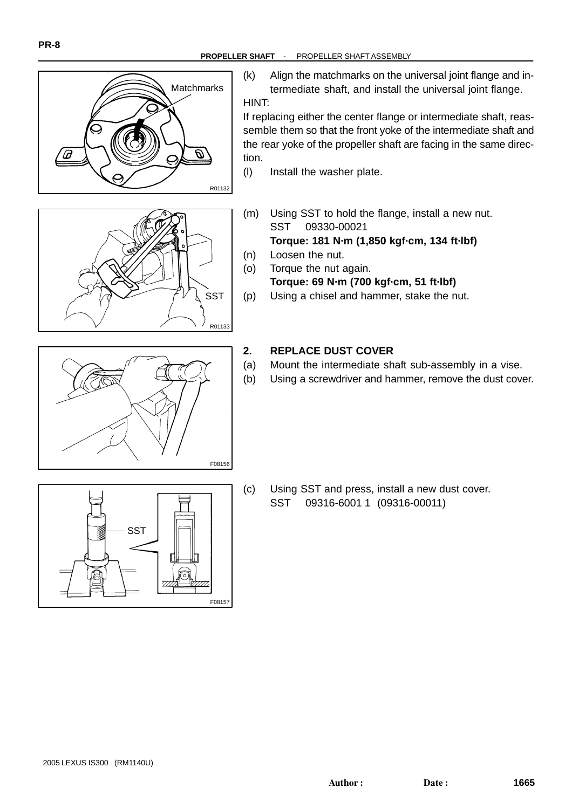

(k) Align the matchmarks on the universal joint flange and intermediate shaft, and install the universal joint flange. HINT:

If replacing either the center flange or intermediate shaft, reassemble them so that the front yoke of the intermediate shaft and the rear yoke of the propeller shaft are facing in the same direction.

- (l) Install the washer plate.
- (m) Using SST to hold the flange, install a new nut. SST 09330-00021 **Torque: 181 N·m (1,850 kgf·cm, 134 ft·lbf)**
- (n) Loosen the nut.
- (o) Torque the nut again. **Torque: 69 N·m (700 kgf·cm, 51 ft·lbf)**
- (p) Using a chisel and hammer, stake the nut.

#### **2. REPLACE DUST COVER**

- (a) Mount the intermediate shaft sub-assembly in a vise.
- (b) Using a screwdriver and hammer, remove the dust cover.



(c) Using SST and press, install a new dust cover. SST 09316-6001 1 (09316-00011)



**SST** 

R01133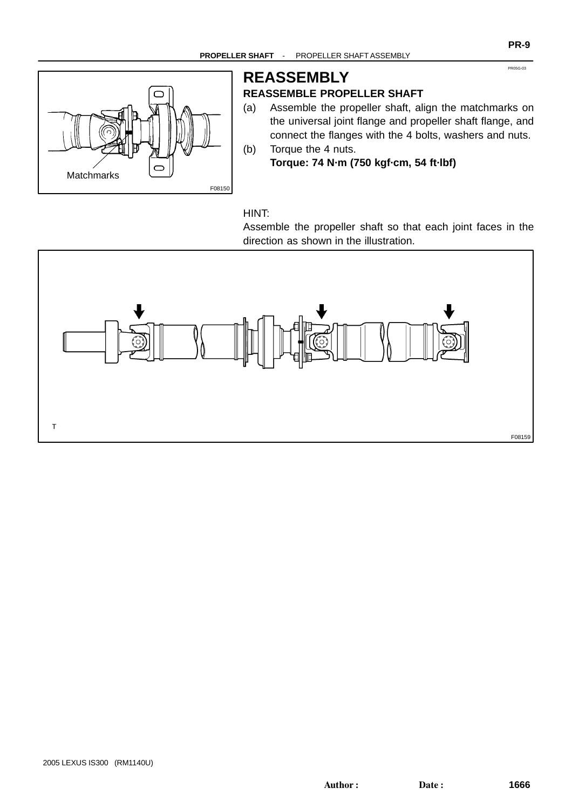

# **REASSEMBLY**

## **REASSEMBLE PROPELLER SHAFT**

(a) Assemble the propeller shaft, align the matchmarks on the universal joint flange and propeller shaft flange, and connect the flanges with the 4 bolts, washers and nuts. (b) Torque the 4 nuts.

**Torque: 74 N·m (750 kgf·cm, 54 ft·lbf)**

#### HINT:

Assemble the propeller shaft so that each joint faces in the direction as shown in the illustration.



PR05G-03

**PR-9**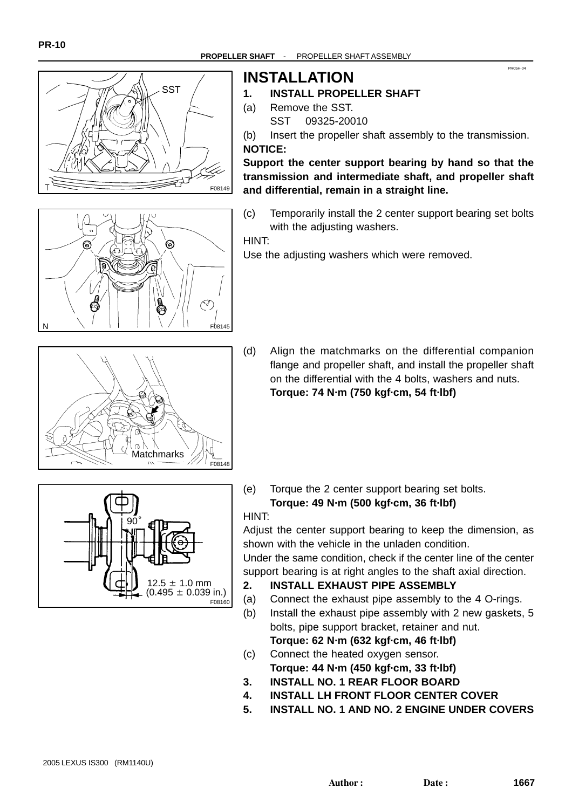



## **INSTALLATION**

- **1. INSTALL PROPELLER SHAFT**
- (a) Remove the SST. SST 09325-20010

(b) Insert the propeller shaft assembly to the transmission. **NOTICE:**

PR05H-04

**Support the center support bearing by hand so that the transmission and intermediate shaft, and propeller shaft and differential, remain in a straight line.**

(c) Temporarily install the 2 center support bearing set bolts with the adjusting washers.

HINT:

F08148

Use the adjusting washers which were removed.

(d) Align the matchmarks on the differential companion flange and propeller shaft, and install the propeller shaft on the differential with the 4 bolts, washers and nuts. **Torque: 74 N·m (750 kgf·cm, 54 ft·lbf)**



**Matchmarks** 

(e) Torque the 2 center support bearing set bolts. **Torque: 49 N·m (500 kgf·cm, 36 ft·lbf)** HINT:

Adjust the center support bearing to keep the dimension, as shown with the vehicle in the unladen condition.

Under the same condition, check if the center line of the center support bearing is at right angles to the shaft axial direction.

- **2. INSTALL EXHAUST PIPE ASSEMBLY**
- (a) Connect the exhaust pipe assembly to the 4 O-rings.
- (b) Install the exhaust pipe assembly with 2 new gaskets, 5 bolts, pipe support bracket, retainer and nut. **Torque: 62 N·m (632 kgf·cm, 46 ft·lbf)**
- (c) Connect the heated oxygen sensor. **Torque: 44 N·m (450 kgf·cm, 33 ft·lbf)**
- **3. INSTALL NO. 1 REAR FLOOR BOARD**
- **4. INSTALL LH FRONT FLOOR CENTER COVER**
- **5. INSTALL NO. 1 AND NO. 2 ENGINE UNDER COVERS**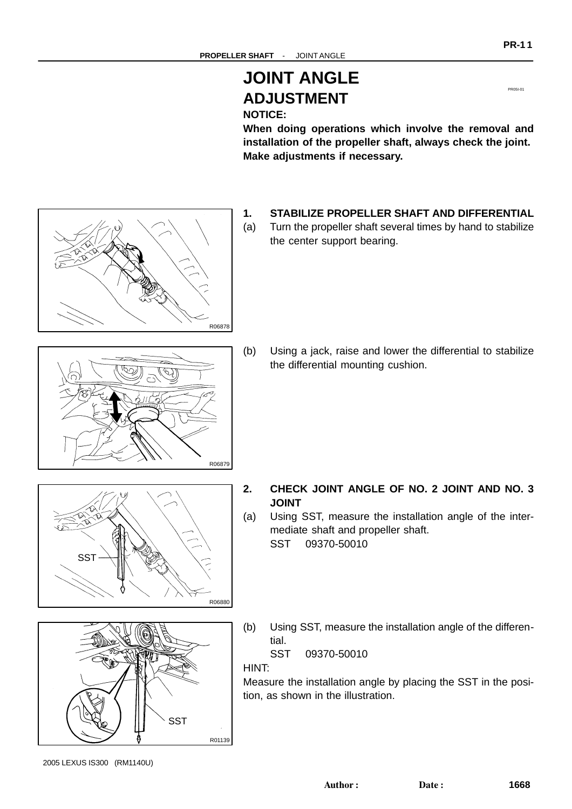# **JOINT ANGLE ADJUSTMENT**

## **NOTICE:**

**When doing operations which involve the removal and installation of the propeller shaft, always check the joint. Make adjustments if necessary.**

- **1. STABILIZE PROPELLER SHAFT AND DIFFERENTIAL**
- (a) Turn the propeller shaft several times by hand to stabilize the center support bearing.

(b) Using a jack, raise and lower the differential to stabilize the differential mounting cushion.

- **2. CHECK JOINT ANGLE OF NO. 2 JOINT AND NO. 3 JOINT**
- (a) Using SST, measure the installation angle of the intermediate shaft and propeller shaft.
	- SST 09370-50010
- (b) Using SST, measure the installation angle of the differential.

SST 09370-50010

HINT:

R06879

R06880

R01139

**SST** 

Measure the installation angle by placing the SST in the position, as shown in the illustration.

SST







PR05I-0<sup>1</sup>